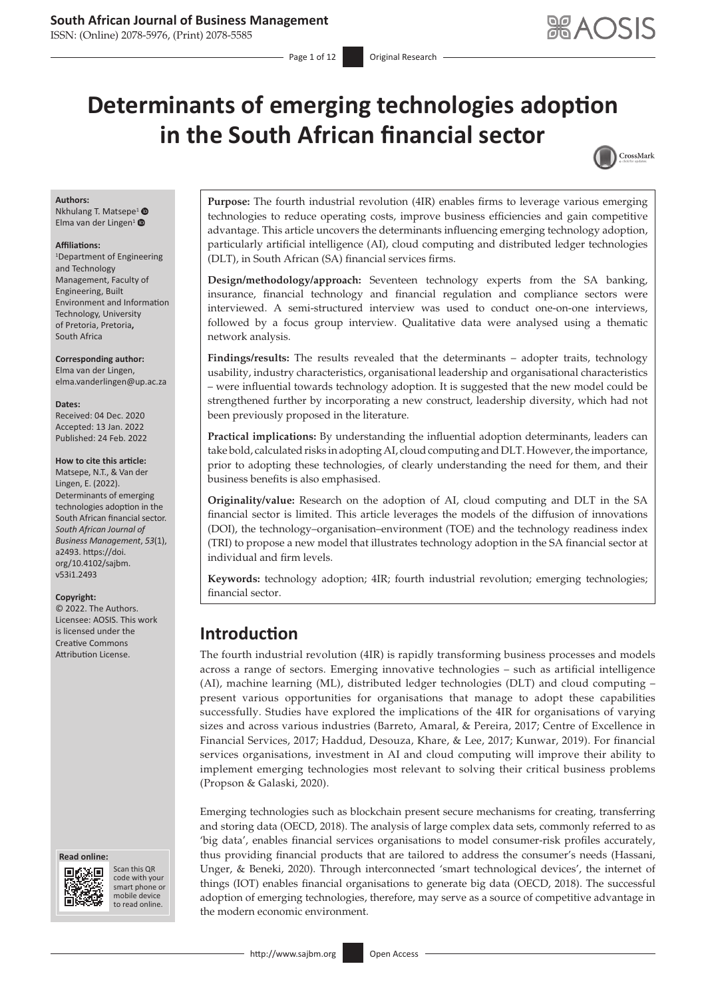## **South African Journal of Business Management**

ISSN: (Online) 2078-5976, (Print) 2078-5585

# **Determinants of emerging technologies adoption in the South African financial sector**



#### **Authors:**

Nkhulang T. Matsepe<sup>[1](https://orcid.org/0000-0002-0019-6061)</sup> <sup>®</sup> Elma van der Lingen<sup>[1](https://orcid.org/0000-0003-1648-3564)</sup> $\bullet$ 

#### **Affiliations:**

1 Department of Engineering and Technology Management, Faculty of Engineering, Built Environment and Information Technology, University of Pretoria, Pretoria**,**  South Africa

**Corresponding author:** Elma van der Lingen, [elma.vanderlingen@up.ac.za](mailto:elma.vanderlingen@up.ac.za)

#### **Dates:**

Received: 04 Dec. 2020 Accepted: 13 Jan. 2022 Published: 24 Feb. 2022

#### **How to cite this article:**

Matsepe, N.T., & Van der Lingen, E. (2022). Determinants of emerging technologies adoption in the South African financial sector. *South African Journal of Business Management*, *53*(1), a2493. [https://doi.](https://doi.org/10.4102/sajbm.v53i1.2493) [org/10.4102/sajbm.](https://doi.org/10.4102/sajbm.v53i1.2493) [v53i1.2493](https://doi.org/10.4102/sajbm.v53i1.2493)

#### **Copyright:**

© 2022. The Authors. Licensee: AOSIS. This work is licensed under the Creative Commons Attribution License.





Scan this QR code with your Scan this QR<br>code with your<br>smart phone or<br>mobile device mobile device to read online. to read online.

**Purpose:** The fourth industrial revolution (4IR) enables firms to leverage various emerging technologies to reduce operating costs, improve business efficiencies and gain competitive advantage. This article uncovers the determinants influencing emerging technology adoption, particularly artificial intelligence (AI), cloud computing and distributed ledger technologies (DLT), in South African (SA) financial services firms.

**Design/methodology/approach:** Seventeen technology experts from the SA banking, insurance, financial technology and financial regulation and compliance sectors were interviewed. A semi-structured interview was used to conduct one-on-one interviews, followed by a focus group interview. Qualitative data were analysed using a thematic network analysis.

**Findings/results:** The results revealed that the determinants – adopter traits, technology usability, industry characteristics, organisational leadership and organisational characteristics – were influential towards technology adoption. It is suggested that the new model could be strengthened further by incorporating a new construct, leadership diversity, which had not been previously proposed in the literature.

**Practical implications:** By understanding the influential adoption determinants, leaders can take bold, calculated risks in adopting AI, cloud computing and DLT. However, the importance, prior to adopting these technologies, of clearly understanding the need for them, and their business benefits is also emphasised.

**Originality/value:** Research on the adoption of AI, cloud computing and DLT in the SA financial sector is limited. This article leverages the models of the diffusion of innovations (DOI), the technology–organisation–environment (TOE) and the technology readiness index (TRI) to propose a new model that illustrates technology adoption in the SA financial sector at individual and firm levels.

**Keywords:** technology adoption; 4IR; fourth industrial revolution; emerging technologies; financial sector.

## **Introduction**

The fourth industrial revolution (4IR) is rapidly transforming business processes and models across a range of sectors. Emerging innovative technologies – such as artificial intelligence (AI), machine learning (ML), distributed ledger technologies (DLT) and cloud computing – present various opportunities for organisations that manage to adopt these capabilities successfully. Studies have explored the implications of the 4IR for organisations of varying sizes and across various industries (Barreto, Amaral, & Pereira, 2017; Centre of Excellence in Financial Services, 2017; Haddud, Desouza, Khare, & Lee, 2017; Kunwar, 2019). For financial services organisations, investment in AI and cloud computing will improve their ability to implement emerging technologies most relevant to solving their critical business problems (Propson & Galaski, 2020).

Emerging technologies such as blockchain present secure mechanisms for creating, transferring and storing data (OECD, 2018). The analysis of large complex data sets, commonly referred to as 'big data', enables financial services organisations to model consumer-risk profiles accurately, thus providing financial products that are tailored to address the consumer's needs (Hassani, Unger, & Beneki, 2020). Through interconnected 'smart technological devices', the internet of things (IOT) enables financial organisations to generate big data (OECD, 2018). The successful adoption of emerging technologies, therefore, may serve as a source of competitive advantage in the modern economic environment.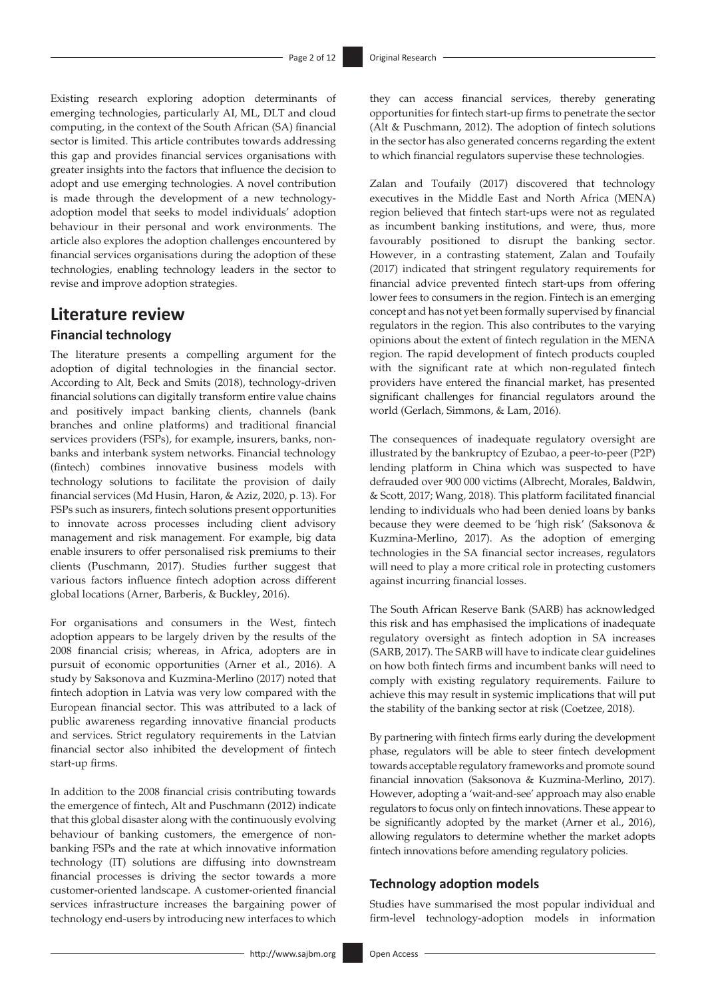Existing research exploring adoption determinants of emerging technologies, particularly AI, ML, DLT and cloud computing, in the context of the South African (SA) financial sector is limited. This article contributes towards addressing this gap and provides financial services organisations with greater insights into the factors that influence the decision to adopt and use emerging technologies. A novel contribution is made through the development of a new technologyadoption model that seeks to model individuals' adoption behaviour in their personal and work environments. The article also explores the adoption challenges encountered by financial services organisations during the adoption of these technologies, enabling technology leaders in the sector to revise and improve adoption strategies.

## **Literature review**

## **Financial technology**

The literature presents a compelling argument for the adoption of digital technologies in the financial sector. According to Alt, Beck and Smits (2018), technology-driven financial solutions can digitally transform entire value chains and positively impact banking clients, channels (bank branches and online platforms) and traditional financial services providers (FSPs), for example, insurers, banks, nonbanks and interbank system networks. Financial technology (fintech) combines innovative business models with technology solutions to facilitate the provision of daily financial services (Md Husin, Haron, & Aziz, 2020, p. 13). For FSPs such as insurers, fintech solutions present opportunities to innovate across processes including client advisory management and risk management. For example, big data enable insurers to offer personalised risk premiums to their clients (Puschmann, 2017). Studies further suggest that various factors influence fintech adoption across different global locations (Arner, Barberis, & Buckley, 2016).

For organisations and consumers in the West, fintech adoption appears to be largely driven by the results of the 2008 financial crisis; whereas, in Africa, adopters are in pursuit of economic opportunities (Arner et al., 2016). A study by Saksonova and Kuzmina-Merlino (2017) noted that fintech adoption in Latvia was very low compared with the European financial sector. This was attributed to a lack of public awareness regarding innovative financial products and services. Strict regulatory requirements in the Latvian financial sector also inhibited the development of fintech start-up firms.

In addition to the 2008 financial crisis contributing towards the emergence of fintech, Alt and Puschmann (2012) indicate that this global disaster along with the continuously evolving behaviour of banking customers, the emergence of nonbanking FSPs and the rate at which innovative information technology (IT) solutions are diffusing into downstream financial processes is driving the sector towards a more customer-oriented landscape. A customer-oriented financial services infrastructure increases the bargaining power of technology end-users by introducing new interfaces to which

they can access financial services, thereby generating opportunities for fintech start-up firms to penetrate the sector (Alt & Puschmann, 2012). The adoption of fintech solutions in the sector has also generated concerns regarding the extent to which financial regulators supervise these technologies.

Zalan and Toufaily (2017) discovered that technology executives in the Middle East and North Africa (MENA) region believed that fintech start-ups were not as regulated as incumbent banking institutions, and were, thus, more favourably positioned to disrupt the banking sector. However, in a contrasting statement, Zalan and Toufaily (2017) indicated that stringent regulatory requirements for financial advice prevented fintech start-ups from offering lower fees to consumers in the region. Fintech is an emerging concept and has not yet been formally supervised by financial regulators in the region. This also contributes to the varying opinions about the extent of fintech regulation in the MENA region. The rapid development of fintech products coupled with the significant rate at which non-regulated fintech providers have entered the financial market, has presented significant challenges for financial regulators around the world (Gerlach, Simmons, & Lam, 2016).

The consequences of inadequate regulatory oversight are illustrated by the bankruptcy of Ezubao, a peer-to-peer (P2P) lending platform in China which was suspected to have defrauded over 900 000 victims (Albrecht, Morales, Baldwin, & Scott, 2017; Wang, 2018). This platform facilitated financial lending to individuals who had been denied loans by banks because they were deemed to be 'high risk' (Saksonova & Kuzmina-Merlino, 2017). As the adoption of emerging technologies in the SA financial sector increases, regulators will need to play a more critical role in protecting customers against incurring financial losses.

The South African Reserve Bank (SARB) has acknowledged this risk and has emphasised the implications of inadequate regulatory oversight as fintech adoption in SA increases (SARB, 2017). The SARB will have to indicate clear guidelines on how both fintech firms and incumbent banks will need to comply with existing regulatory requirements. Failure to achieve this may result in systemic implications that will put the stability of the banking sector at risk (Coetzee, 2018).

By partnering with fintech firms early during the development phase, regulators will be able to steer fintech development towards acceptable regulatory frameworks and promote sound financial innovation (Saksonova & Kuzmina-Merlino, 2017). However, adopting a 'wait-and-see' approach may also enable regulators to focus only on fintech innovations. These appear to be significantly adopted by the market (Arner et al., 2016), allowing regulators to determine whether the market adopts fintech innovations before amending regulatory policies.

#### **Technology adoption models**

Studies have summarised the most popular individual and firm-level technology-adoption models in information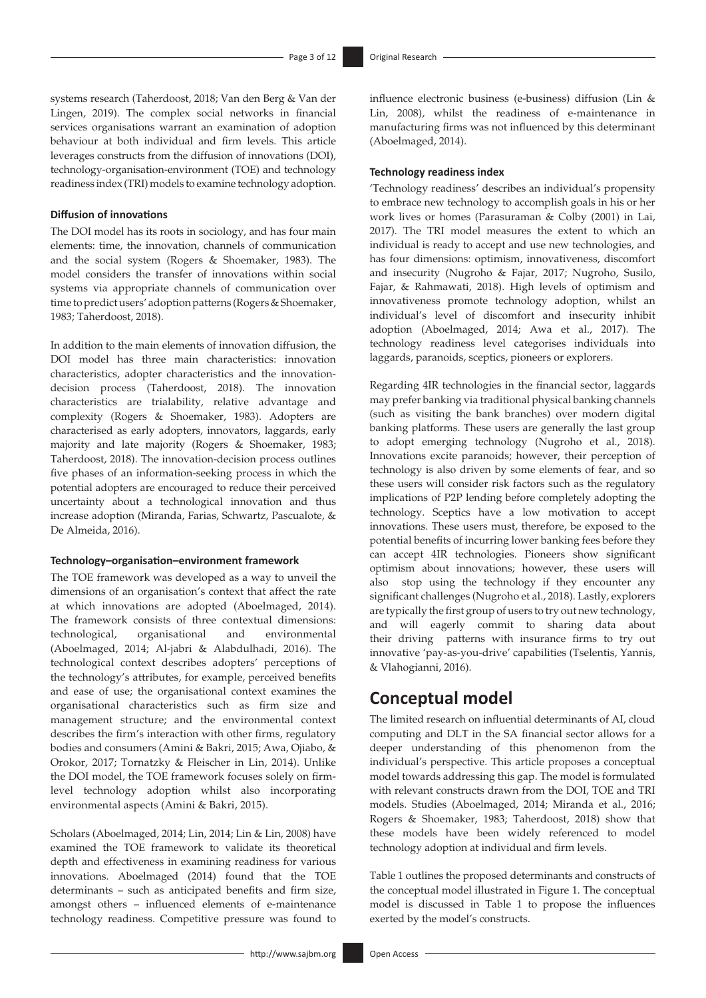systems research (Taherdoost, 2018; Van den Berg & Van der Lingen, 2019). The complex social networks in financial services organisations warrant an examination of adoption behaviour at both individual and firm levels. This article leverages constructs from the diffusion of innovations (DOI), technology-organisation-environment (TOE) and technology readiness index (TRI) models to examine technology adoption.

#### **Diffusion of innovations**

The DOI model has its roots in sociology, and has four main elements: time, the innovation, channels of communication and the social system (Rogers & Shoemaker, 1983). The model considers the transfer of innovations within social systems via appropriate channels of communication over time to predict users' adoption patterns (Rogers & Shoemaker, 1983; Taherdoost, 2018).

In addition to the main elements of innovation diffusion, the DOI model has three main characteristics: innovation characteristics, adopter characteristics and the innovationdecision process (Taherdoost, 2018). The innovation characteristics are trialability, relative advantage and complexity (Rogers & Shoemaker, 1983). Adopters are characterised as early adopters, innovators, laggards, early majority and late majority (Rogers & Shoemaker, 1983; Taherdoost, 2018). The innovation-decision process outlines five phases of an information-seeking process in which the potential adopters are encouraged to reduce their perceived uncertainty about a technological innovation and thus increase adoption (Miranda, Farias, Schwartz, Pascualote, & De Almeida, 2016).

#### **Technology–organisation–environment framework**

The TOE framework was developed as a way to unveil the dimensions of an organisation's context that affect the rate at which innovations are adopted (Aboelmaged, 2014). The framework consists of three contextual dimensions: technological, organisational and environmental (Aboelmaged, 2014; Al-jabri & Alabdulhadi, 2016). The technological context describes adopters' perceptions of the technology's attributes, for example, perceived benefits and ease of use; the organisational context examines the organisational characteristics such as firm size and management structure; and the environmental context describes the firm's interaction with other firms, regulatory bodies and consumers (Amini & Bakri, 2015; Awa, Ojiabo, & Orokor, 2017; Tornatzky & Fleischer in Lin, 2014). Unlike the DOI model, the TOE framework focuses solely on firmlevel technology adoption whilst also incorporating environmental aspects (Amini & Bakri, 2015).

Scholars (Aboelmaged, 2014; Lin, 2014; Lin & Lin, 2008) have examined the TOE framework to validate its theoretical depth and effectiveness in examining readiness for various innovations. Aboelmaged (2014) found that the TOE determinants – such as anticipated benefits and firm size, amongst others – influenced elements of e-maintenance technology readiness. Competitive pressure was found to

influence electronic business (e-business) diffusion (Lin & Lin, 2008), whilst the readiness of e-maintenance in manufacturing firms was not influenced by this determinant (Aboelmaged, 2014).

#### **Technology readiness index**

'Technology readiness' describes an individual's propensity to embrace new technology to accomplish goals in his or her work lives or homes (Parasuraman & Colby (2001) in Lai, 2017). The TRI model measures the extent to which an individual is ready to accept and use new technologies, and has four dimensions: optimism, innovativeness, discomfort and insecurity (Nugroho & Fajar, 2017; Nugroho, Susilo, Fajar, & Rahmawati, 2018). High levels of optimism and innovativeness promote technology adoption, whilst an individual's level of discomfort and insecurity inhibit adoption (Aboelmaged, 2014; Awa et al., 2017). The technology readiness level categorises individuals into laggards, paranoids, sceptics, pioneers or explorers.

Regarding 4IR technologies in the financial sector, laggards may prefer banking via traditional physical banking channels (such as visiting the bank branches) over modern digital banking platforms. These users are generally the last group to adopt emerging technology (Nugroho et al., 2018). Innovations excite paranoids; however, their perception of technology is also driven by some elements of fear, and so these users will consider risk factors such as the regulatory implications of P2P lending before completely adopting the technology. Sceptics have a low motivation to accept innovations. These users must, therefore, be exposed to the potential benefits of incurring lower banking fees before they can accept 4IR technologies. Pioneers show significant optimism about innovations; however, these users will also stop using the technology if they encounter any significant challenges (Nugroho et al., 2018). Lastly, explorers are typically the first group of users to try out new technology, and will eagerly commit to sharing data about their driving patterns with insurance firms to try out innovative 'pay-as-you-drive' capabilities (Tselentis, Yannis, & Vlahogianni, 2016).

## **Conceptual model**

The limited research on influential determinants of AI, cloud computing and DLT in the SA financial sector allows for a deeper understanding of this phenomenon from the individual's perspective. This article proposes a conceptual model towards addressing this gap. The model is formulated with relevant constructs drawn from the DOI, TOE and TRI models. Studies (Aboelmaged, 2014; Miranda et al., 2016; Rogers & Shoemaker, 1983; Taherdoost, 2018) show that these models have been widely referenced to model technology adoption at individual and firm levels.

Table 1 outlines the proposed determinants and constructs of the conceptual model illustrated in Figure 1. The conceptual model is discussed in Table 1 to propose the influences exerted by the model's constructs.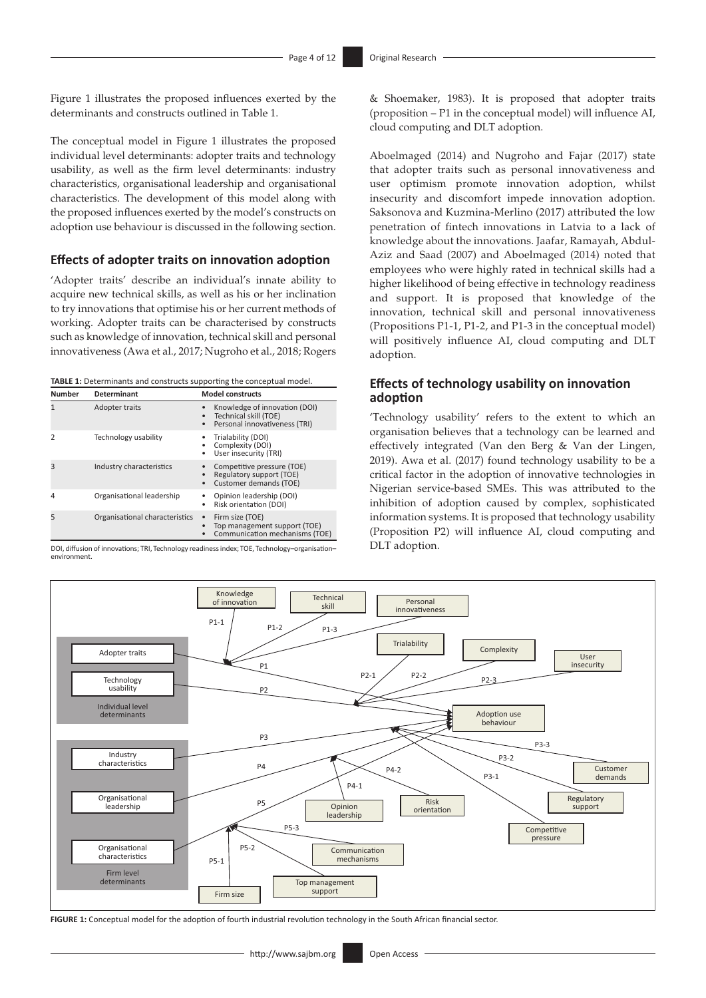Figure 1 illustrates the proposed influences exerted by the determinants and constructs outlined in Table 1.

The conceptual model in Figure 1 illustrates the proposed individual level determinants: adopter traits and technology usability, as well as the firm level determinants: industry characteristics, organisational leadership and organisational characteristics. The development of this model along with the proposed influences exerted by the model's constructs on adoption use behaviour is discussed in the following section.

### **Effects of adopter traits on innovation adoption**

'Adopter traits' describe an individual's innate ability to acquire new technical skills, as well as his or her inclination to try innovations that optimise his or her current methods of working. Adopter traits can be characterised by constructs such as knowledge of innovation, technical skill and personal innovativeness (Awa et al., 2017; Nugroho et al., 2018; Rogers

**TABLE 1:** Determinants and constructs supporting the conceptual model.

| <b>Number</b>           | <b>Determinant</b>             | <b>Model constructs</b>                                                                                     |  |  |
|-------------------------|--------------------------------|-------------------------------------------------------------------------------------------------------------|--|--|
| $\overline{1}$          | Adopter traits                 | Knowledge of innovation (DOI)<br>٠<br>Technical skill (TOE)<br>٠<br>Personal innovativeness (TRI)<br>٠      |  |  |
| $\mathcal{P}$           | Technology usability           | Trialability (DOI)<br>Complexity (DOI)<br>٠<br>User insecurity (TRI)<br>٠                                   |  |  |
| $\overline{\mathbf{3}}$ | Industry characteristics       | Competitive pressure (TOE)<br>Regulatory support (TOE)<br>Customer demands (TOE)<br>٠                       |  |  |
| 4                       | Organisational leadership      | Opinion leadership (DOI)<br><b>Risk orientation (DOI)</b><br>٠                                              |  |  |
| 5                       | Organisational characteristics | Firm size (TOE)<br>$\bullet$<br>Top management support (TOE)<br>$\bullet$<br>Communication mechanisms (TOE) |  |  |

DOI, diffusion of innovations; TRI, Technology readiness index; TOE, Technology–organisation– environment.

& Shoemaker, 1983). It is proposed that adopter traits (proposition – P1 in the conceptual model) will influence AI, cloud computing and DLT adoption.

Aboelmaged (2014) and Nugroho and Fajar (2017) state that adopter traits such as personal innovativeness and user optimism promote innovation adoption, whilst insecurity and discomfort impede innovation adoption. Saksonova and Kuzmina-Merlino (2017) attributed the low penetration of fintech innovations in Latvia to a lack of knowledge about the innovations. Jaafar, Ramayah, Abdul-Aziz and Saad (2007) and Aboelmaged (2014) noted that employees who were highly rated in technical skills had a higher likelihood of being effective in technology readiness and support. It is proposed that knowledge of the innovation, technical skill and personal innovativeness (Propositions P1-1, P1-2, and P1-3 in the conceptual model) will positively influence AI, cloud computing and DLT adoption.

## **Effects of technology usability on innovation adoption**

'Technology usability' refers to the extent to which an organisation believes that a technology can be learned and effectively integrated (Van den Berg & Van der Lingen, 2019). Awa et al. (2017) found technology usability to be a critical factor in the adoption of innovative technologies in Nigerian service-based SMEs. This was attributed to the inhibition of adoption caused by complex, sophisticated information systems. It is proposed that technology usability (Proposition P2) will influence AI, cloud computing and DLT adoption.



**FIGURE 1:** Conceptual model for the adoption of fourth industrial revolution technology in the South African financial sector.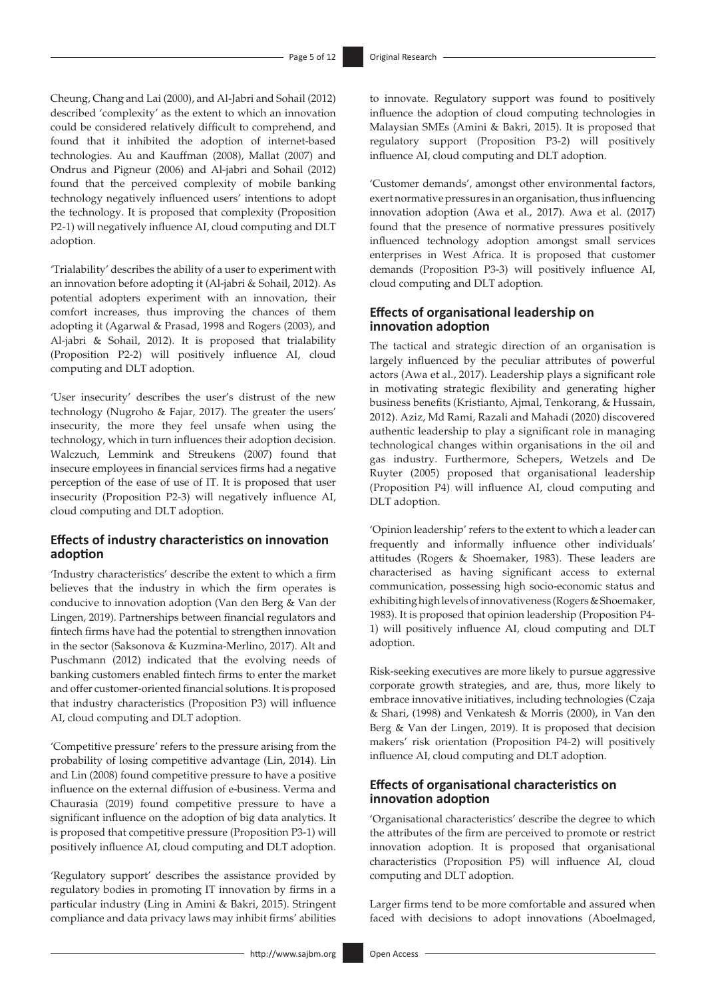Cheung, Chang and Lai (2000), and Al-Jabri and Sohail (2012) described 'complexity' as the extent to which an innovation could be considered relatively difficult to comprehend, and found that it inhibited the adoption of internet-based technologies. Au and Kauffman (2008), Mallat (2007) and Ondrus and Pigneur (2006) and Al-jabri and Sohail (2012) found that the perceived complexity of mobile banking technology negatively influenced users' intentions to adopt the technology. It is proposed that complexity (Proposition P2-1) will negatively influence AI, cloud computing and DLT adoption.

'Trialability' describes the ability of a user to experiment with an innovation before adopting it (Al-jabri & Sohail, 2012). As potential adopters experiment with an innovation, their comfort increases, thus improving the chances of them adopting it (Agarwal & Prasad, 1998 and Rogers (2003), and Al-jabri & Sohail, 2012). It is proposed that trialability (Proposition P2-2) will positively influence AI, cloud computing and DLT adoption.

'User insecurity' describes the user's distrust of the new technology (Nugroho & Fajar, 2017). The greater the users' insecurity, the more they feel unsafe when using the technology, which in turn influences their adoption decision. Walczuch, Lemmink and Streukens (2007) found that insecure employees in financial services firms had a negative perception of the ease of use of IT. It is proposed that user insecurity (Proposition P2-3) will negatively influence AI, cloud computing and DLT adoption.

### **Effects of industry characteristics on innovation adoption**

'Industry characteristics' describe the extent to which a firm believes that the industry in which the firm operates is conducive to innovation adoption (Van den Berg & Van der Lingen, 2019). Partnerships between financial regulators and fintech firms have had the potential to strengthen innovation in the sector (Saksonova & Kuzmina-Merlino, 2017). Alt and Puschmann (2012) indicated that the evolving needs of banking customers enabled fintech firms to enter the market and offer customer-oriented financial solutions. It is proposed that industry characteristics (Proposition P3) will influence AI, cloud computing and DLT adoption.

'Competitive pressure' refers to the pressure arising from the probability of losing competitive advantage (Lin, 2014). Lin and Lin (2008) found competitive pressure to have a positive influence on the external diffusion of e-business. Verma and Chaurasia (2019) found competitive pressure to have a significant influence on the adoption of big data analytics. It is proposed that competitive pressure (Proposition P3-1) will positively influence AI, cloud computing and DLT adoption.

'Regulatory support' describes the assistance provided by regulatory bodies in promoting IT innovation by firms in a particular industry (Ling in Amini & Bakri, 2015). Stringent compliance and data privacy laws may inhibit firms' abilities

to innovate. Regulatory support was found to positively influence the adoption of cloud computing technologies in Malaysian SMEs (Amini & Bakri, 2015). It is proposed that regulatory support (Proposition P3-2) will positively influence AI, cloud computing and DLT adoption.

'Customer demands', amongst other environmental factors, exert normative pressures in an organisation, thus influencing innovation adoption (Awa et al., 2017). Awa et al. (2017) found that the presence of normative pressures positively influenced technology adoption amongst small services enterprises in West Africa. It is proposed that customer demands (Proposition P3-3) will positively influence AI, cloud computing and DLT adoption.

### **Effects of organisational leadership on innovation adoption**

The tactical and strategic direction of an organisation is largely influenced by the peculiar attributes of powerful actors (Awa et al., 2017). Leadership plays a significant role in motivating strategic flexibility and generating higher business benefits (Kristianto, Ajmal, Tenkorang, & Hussain, 2012). Aziz, Md Rami, Razali and Mahadi (2020) discovered authentic leadership to play a significant role in managing technological changes within organisations in the oil and gas industry. Furthermore, Schepers, Wetzels and De Ruyter (2005) proposed that organisational leadership (Proposition P4) will influence AI, cloud computing and DLT adoption.

'Opinion leadership' refers to the extent to which a leader can frequently and informally influence other individuals' attitudes (Rogers & Shoemaker, 1983). These leaders are characterised as having significant access to external communication, possessing high socio-economic status and exhibiting high levels of innovativeness (Rogers & Shoemaker, 1983). It is proposed that opinion leadership (Proposition P4- 1) will positively influence AI, cloud computing and DLT adoption.

Risk-seeking executives are more likely to pursue aggressive corporate growth strategies, and are, thus, more likely to embrace innovative initiatives, including technologies (Czaja & Shari, (1998) and Venkatesh & Morris (2000), in Van den Berg & Van der Lingen, 2019). It is proposed that decision makers' risk orientation (Proposition P4-2) will positively influence AI, cloud computing and DLT adoption.

### **Effects of organisational characteristics on innovation adoption**

'Organisational characteristics' describe the degree to which the attributes of the firm are perceived to promote or restrict innovation adoption. It is proposed that organisational characteristics (Proposition P5) will influence AI, cloud computing and DLT adoption.

Larger firms tend to be more comfortable and assured when faced with decisions to adopt innovations (Aboelmaged,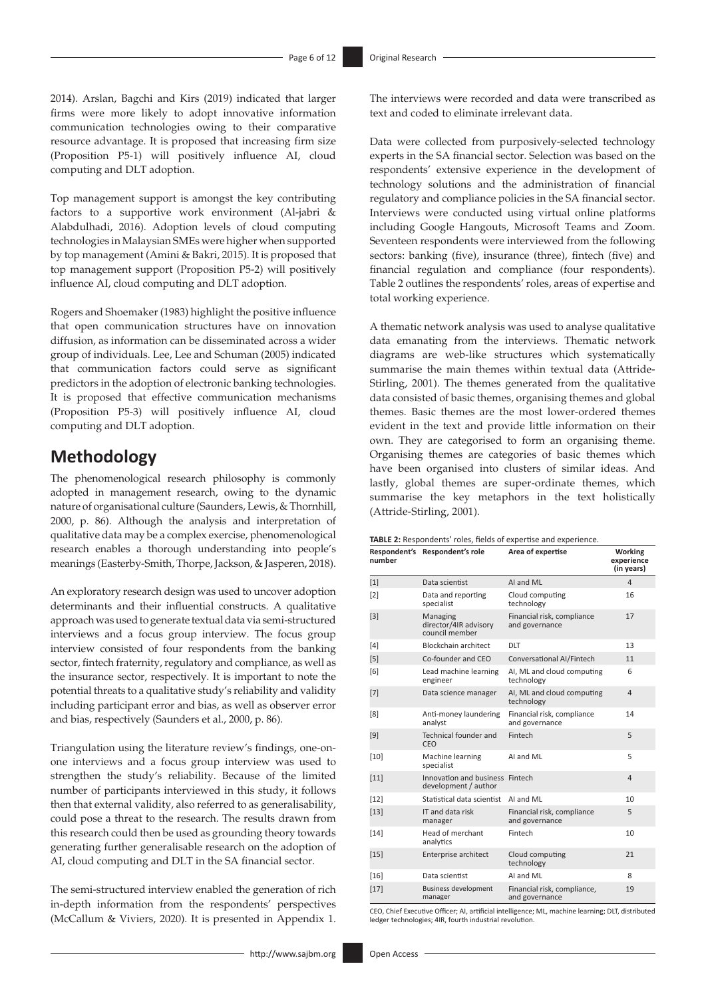2014). Arslan, Bagchi and Kirs (2019) indicated that larger firms were more likely to adopt innovative information communication technologies owing to their comparative resource advantage. It is proposed that increasing firm size (Proposition P5-1) will positively influence AI, cloud computing and DLT adoption.

Top management support is amongst the key contributing factors to a supportive work environment (Al-jabri & Alabdulhadi, 2016). Adoption levels of cloud computing technologies in Malaysian SMEs were higher when supported by top management (Amini & Bakri, 2015). It is proposed that top management support (Proposition P5-2) will positively influence AI, cloud computing and DLT adoption.

Rogers and Shoemaker (1983) highlight the positive influence that open communication structures have on innovation diffusion, as information can be disseminated across a wider group of individuals. Lee, Lee and Schuman (2005) indicated that communication factors could serve as significant predictors in the adoption of electronic banking technologies. It is proposed that effective communication mechanisms (Proposition P5-3) will positively influence AI, cloud computing and DLT adoption.

## **Methodology**

The phenomenological research philosophy is commonly adopted in management research, owing to the dynamic nature of organisational culture (Saunders, Lewis, & Thornhill, 2000, p. 86). Although the analysis and interpretation of qualitative data may be a complex exercise, phenomenological research enables a thorough understanding into people's meanings (Easterby-Smith, Thorpe, Jackson, & Jasperen, 2018).

An exploratory research design was used to uncover adoption determinants and their influential constructs. A qualitative approach was used to generate textual data via semi-structured interviews and a focus group interview. The focus group interview consisted of four respondents from the banking sector, fintech fraternity, regulatory and compliance, as well as the insurance sector, respectively. It is important to note the potential threats to a qualitative study's reliability and validity including participant error and bias, as well as observer error and bias, respectively (Saunders et al., 2000, p. 86).

Triangulation using the literature review's findings, one-onone interviews and a focus group interview was used to strengthen the study's reliability. Because of the limited number of participants interviewed in this study, it follows then that external validity, also referred to as generalisability, could pose a threat to the research. The results drawn from this research could then be used as grounding theory towards generating further generalisable research on the adoption of AI, cloud computing and DLT in the SA financial sector.

The semi-structured interview enabled the generation of rich in-depth information from the respondents' perspectives (McCallum & Viviers, 2020). It is presented in Appendix 1.

The interviews were recorded and data were transcribed as text and coded to eliminate irrelevant data.

Data were collected from purposively-selected technology experts in the SA financial sector. Selection was based on the respondents' extensive experience in the development of technology solutions and the administration of financial regulatory and compliance policies in the SA financial sector. Interviews were conducted using virtual online platforms including Google Hangouts, Microsoft Teams and Zoom. Seventeen respondents were interviewed from the following sectors: banking (five), insurance (three), fintech (five) and financial regulation and compliance (four respondents). Table 2 outlines the respondents' roles, areas of expertise and total working experience.

A thematic network analysis was used to analyse qualitative data emanating from the interviews. Thematic network diagrams are web-like structures which systematically summarise the main themes within textual data (Attride-Stirling, 2001). The themes generated from the qualitative data consisted of basic themes, organising themes and global themes. Basic themes are the most lower-ordered themes evident in the text and provide little information on their own. They are categorised to form an organising theme. Organising themes are categories of basic themes which have been organised into clusters of similar ideas. And lastly, global themes are super-ordinate themes, which summarise the key metaphors in the text holistically (Attride-Stirling, 2001).

| number | Respondent's Respondent's role                                                                      | Area of expertise                             | <b>Working</b><br>experience<br>(in years) |
|--------|-----------------------------------------------------------------------------------------------------|-----------------------------------------------|--------------------------------------------|
| $[1]$  | Data scientist                                                                                      | AI and ML                                     | 4                                          |
| [2]    | Data and reporting<br>specialist                                                                    | Cloud computing<br>technology                 | 16                                         |
| $[3]$  | Financial risk, compliance<br>Managing<br>director/4IR advisory<br>and governance<br>council member |                                               | 17                                         |
| [4]    | <b>Blockchain architect</b>                                                                         | DLT                                           | 13                                         |
| [5]    | Co-founder and CEO                                                                                  | Conversational AI/Fintech                     | 11                                         |
| [6]    | Lead machine learning<br>engineer                                                                   | AI, ML and cloud computing<br>technology      | 6                                          |
| $[7]$  | Data science manager                                                                                | AI, ML and cloud computing<br>technology      | $\overline{4}$                             |
| [8]    | Anti-money laundering<br>analyst                                                                    | Financial risk, compliance<br>and governance  | 14                                         |
| [9]    | Technical founder and<br>CEO                                                                        | Fintech                                       | 5                                          |
| $[10]$ | Machine learning<br>specialist                                                                      | AI and ML                                     | 5                                          |
| $[11]$ | Innovation and business Fintech<br>development / author                                             |                                               | $\overline{4}$                             |
| $[12]$ | Statistical data scientist                                                                          | AI and ML                                     | 10                                         |
| $[13]$ | IT and data risk<br>manager                                                                         | Financial risk, compliance<br>and governance  | 5                                          |
| $[14]$ | Head of merchant<br>analytics                                                                       | Fintech                                       | 10                                         |
| $[15]$ | Enterprise architect                                                                                | Cloud computing<br>technology                 | 21                                         |
| $[16]$ | Data scientist                                                                                      | AI and ML                                     | 8                                          |
| $[17]$ | <b>Business development</b><br>manager                                                              | Financial risk, compliance,<br>and governance | 19                                         |

CEO, Chief Executive Officer; AI, artificial intelligence; ML, machine learning; DLT, distributed ledger technologies; 4IR, fourth industrial revolution.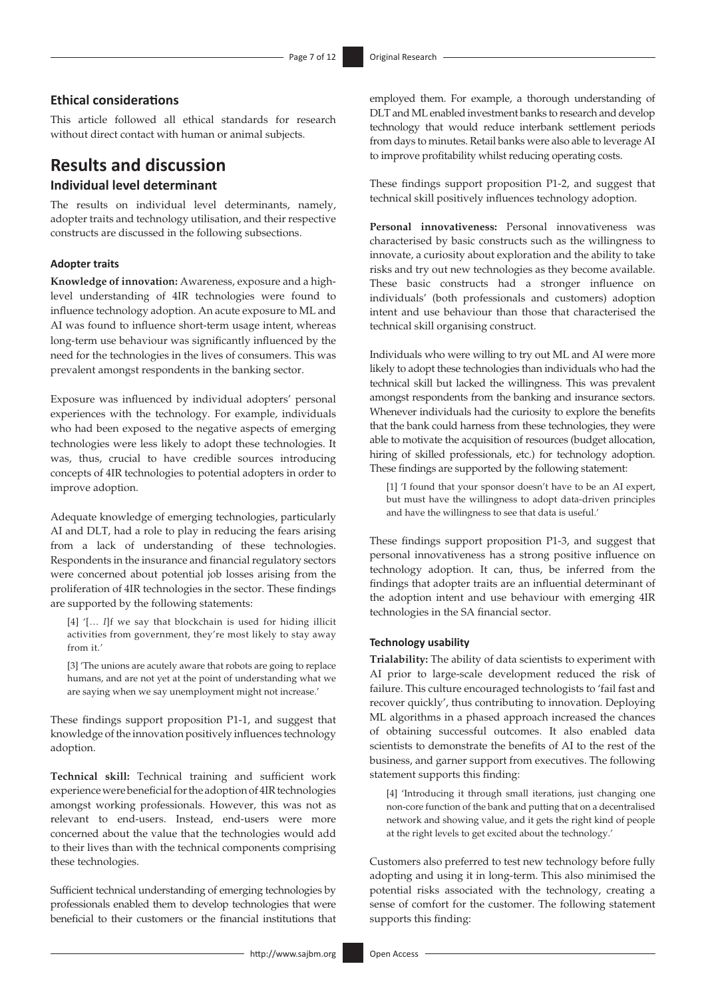## **Ethical considerations**

This article followed all ethical standards for research without direct contact with human or animal subjects.

## **Results and discussion Individual level determinant**

The results on individual level determinants, namely, adopter traits and technology utilisation, and their respective constructs are discussed in the following subsections.

### **Adopter traits**

**Knowledge of innovation:** Awareness, exposure and a highlevel understanding of 4IR technologies were found to influence technology adoption. An acute exposure to ML and AI was found to influence short-term usage intent, whereas long-term use behaviour was significantly influenced by the need for the technologies in the lives of consumers. This was prevalent amongst respondents in the banking sector.

Exposure was influenced by individual adopters' personal experiences with the technology. For example, individuals who had been exposed to the negative aspects of emerging technologies were less likely to adopt these technologies. It was, thus, crucial to have credible sources introducing concepts of 4IR technologies to potential adopters in order to improve adoption.

Adequate knowledge of emerging technologies, particularly AI and DLT, had a role to play in reducing the fears arising from a lack of understanding of these technologies. Respondents in the insurance and financial regulatory sectors were concerned about potential job losses arising from the proliferation of 4IR technologies in the sector. These findings are supported by the following statements:

[4] '[… *I*]f we say that blockchain is used for hiding illicit activities from government, they're most likely to stay away from it.'

[3] 'The unions are acutely aware that robots are going to replace humans, and are not yet at the point of understanding what we are saying when we say unemployment might not increase.'

These findings support proposition P1-1, and suggest that knowledge of the innovation positively influences technology adoption.

**Technical skill:** Technical training and sufficient work experience were beneficial for the adoption of 4IR technologies amongst working professionals. However, this was not as relevant to end-users. Instead, end-users were more concerned about the value that the technologies would add to their lives than with the technical components comprising these technologies.

Sufficient technical understanding of emerging technologies by professionals enabled them to develop technologies that were beneficial to their customers or the financial institutions that

employed them. For example, a thorough understanding of DLT and ML enabled investment banks to research and develop technology that would reduce interbank settlement periods from days to minutes. Retail banks were also able to leverage AI to improve profitability whilst reducing operating costs.

These findings support proposition P1-2, and suggest that technical skill positively influences technology adoption.

**Personal innovativeness:** Personal innovativeness was characterised by basic constructs such as the willingness to innovate, a curiosity about exploration and the ability to take risks and try out new technologies as they become available. These basic constructs had a stronger influence on individuals' (both professionals and customers) adoption intent and use behaviour than those that characterised the technical skill organising construct.

Individuals who were willing to try out ML and AI were more likely to adopt these technologies than individuals who had the technical skill but lacked the willingness. This was prevalent amongst respondents from the banking and insurance sectors. Whenever individuals had the curiosity to explore the benefits that the bank could harness from these technologies, they were able to motivate the acquisition of resources (budget allocation, hiring of skilled professionals, etc.) for technology adoption. These findings are supported by the following statement:

[1] 'I found that your sponsor doesn't have to be an AI expert, but must have the willingness to adopt data-driven principles and have the willingness to see that data is useful.'

These findings support proposition P1-3, and suggest that personal innovativeness has a strong positive influence on technology adoption. It can, thus, be inferred from the findings that adopter traits are an influential determinant of the adoption intent and use behaviour with emerging 4IR technologies in the SA financial sector.

#### **Technology usability**

**Trialability:** The ability of data scientists to experiment with AI prior to large-scale development reduced the risk of failure. This culture encouraged technologists to 'fail fast and recover quickly', thus contributing to innovation. Deploying ML algorithms in a phased approach increased the chances of obtaining successful outcomes. It also enabled data scientists to demonstrate the benefits of AI to the rest of the business, and garner support from executives. The following statement supports this finding:

[4] 'Introducing it through small iterations, just changing one non-core function of the bank and putting that on a decentralised network and showing value, and it gets the right kind of people at the right levels to get excited about the technology.'

Customers also preferred to test new technology before fully adopting and using it in long-term. This also minimised the potential risks associated with the technology, creating a sense of comfort for the customer. The following statement supports this finding: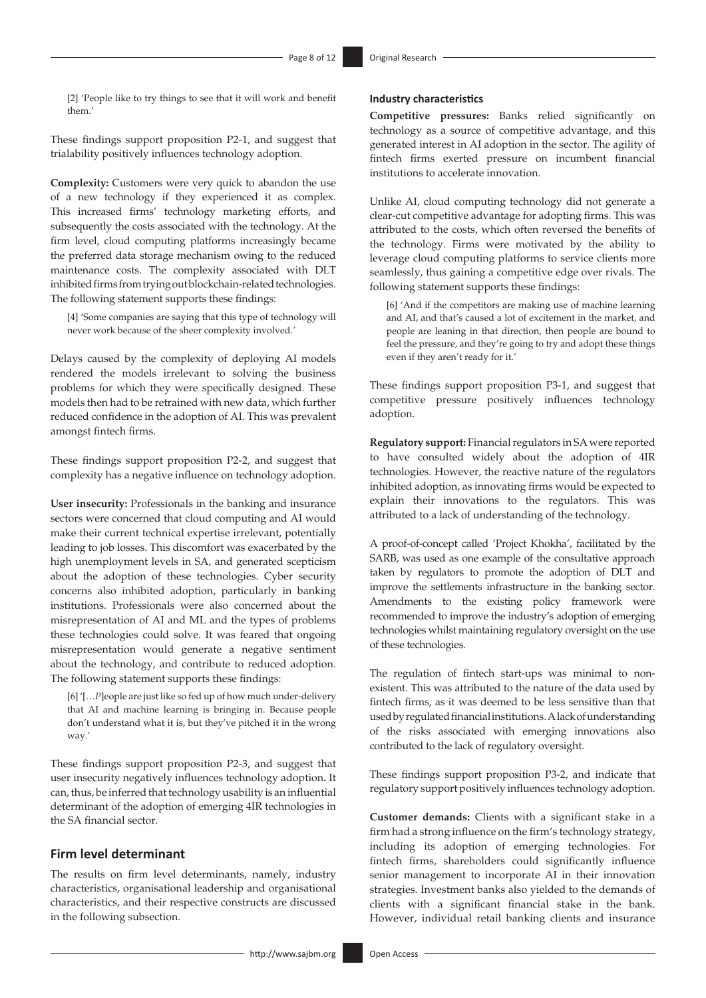[2] 'People like to try things to see that it will work and benefit them.'

These findings support proposition P2-1, and suggest that trialability positively influences technology adoption.

**Complexity:** Customers were very quick to abandon the use of a new technology if they experienced it as complex. This increased firms' technology marketing efforts, and subsequently the costs associated with the technology. At the firm level, cloud computing platforms increasingly became the preferred data storage mechanism owing to the reduced maintenance costs. The complexity associated with DLT inhibited firms from trying out blockchain-related technologies. The following statement supports these findings:

[4] 'Some companies are saying that this type of technology will never work because of the sheer complexity involved.'

Delays caused by the complexity of deploying AI models rendered the models irrelevant to solving the business problems for which they were specifically designed. These models then had to be retrained with new data, which further reduced confidence in the adoption of AI. This was prevalent amongst fintech firms.

These findings support proposition P2-2, and suggest that complexity has a negative influence on technology adoption.

**User insecurity:** Professionals in the banking and insurance sectors were concerned that cloud computing and AI would make their current technical expertise irrelevant, potentially leading to job losses. This discomfort was exacerbated by the high unemployment levels in SA, and generated scepticism about the adoption of these technologies. Cyber security concerns also inhibited adoption, particularly in banking institutions. Professionals were also concerned about the misrepresentation of AI and ML and the types of problems these technologies could solve. It was feared that ongoing misrepresentation would generate a negative sentiment about the technology, and contribute to reduced adoption. The following statement supports these findings:

[6] '[…*P*]eople are just like so fed up of how much under-delivery that AI and machine learning is bringing in. Because people don't understand what it is, but they've pitched it in the wrong way.'

These findings support proposition P2-3, and suggest that user insecurity negatively influences technology adoption**.** It can, thus, be inferred that technology usability is an influential determinant of the adoption of emerging 4IR technologies in the SA financial sector.

## **Firm level determinant**

The results on firm level determinants, namely, industry characteristics, organisational leadership and organisational characteristics, and their respective constructs are discussed in the following subsection.

#### **Industry characteristics**

**Competitive pressures:** Banks relied significantly on technology as a source of competitive advantage, and this generated interest in AI adoption in the sector. The agility of fintech firms exerted pressure on incumbent financial institutions to accelerate innovation.

Unlike AI, cloud computing technology did not generate a clear-cut competitive advantage for adopting firms. This was attributed to the costs, which often reversed the benefits of the technology. Firms were motivated by the ability to leverage cloud computing platforms to service clients more seamlessly, thus gaining a competitive edge over rivals. The following statement supports these findings:

[6] 'And if the competitors are making use of machine learning and AI, and that's caused a lot of excitement in the market, and people are leaning in that direction, then people are bound to feel the pressure, and they're going to try and adopt these things even if they aren't ready for it.'

These findings support proposition P3-1, and suggest that competitive pressure positively influences technology adoption.

**Regulatory support:** Financial regulators in SA were reported to have consulted widely about the adoption of 4IR technologies. However, the reactive nature of the regulators inhibited adoption, as innovating firms would be expected to explain their innovations to the regulators. This was attributed to a lack of understanding of the technology.

A proof-of-concept called 'Project Khokha', facilitated by the SARB, was used as one example of the consultative approach taken by regulators to promote the adoption of DLT and improve the settlements infrastructure in the banking sector. Amendments to the existing policy framework were recommended to improve the industry's adoption of emerging technologies whilst maintaining regulatory oversight on the use of these technologies.

The regulation of fintech start-ups was minimal to nonexistent. This was attributed to the nature of the data used by fintech firms, as it was deemed to be less sensitive than that used by regulated financial institutions. A lack of understanding of the risks associated with emerging innovations also contributed to the lack of regulatory oversight.

These findings support proposition P3-2, and indicate that regulatory support positively influences technology adoption.

**Customer demands:** Clients with a significant stake in a firm had a strong influence on the firm's technology strategy, including its adoption of emerging technologies. For fintech firms, shareholders could significantly influence senior management to incorporate AI in their innovation strategies. Investment banks also yielded to the demands of clients with a significant financial stake in the bank. However, individual retail banking clients and insurance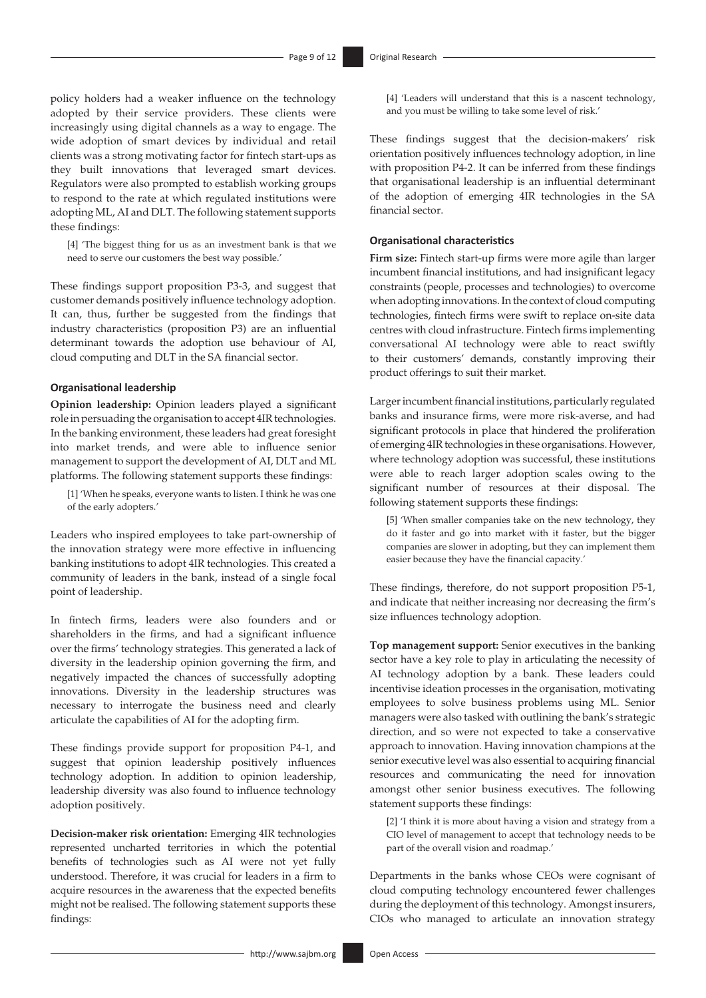policy holders had a weaker influence on the technology adopted by their service providers. These clients were increasingly using digital channels as a way to engage. The wide adoption of smart devices by individual and retail clients was a strong motivating factor for fintech start-ups as they built innovations that leveraged smart devices. Regulators were also prompted to establish working groups to respond to the rate at which regulated institutions were adopting ML, AI and DLT. The following statement supports these findings:

[4] 'The biggest thing for us as an investment bank is that we need to serve our customers the best way possible.'

These findings support proposition P3-3, and suggest that customer demands positively influence technology adoption. It can, thus, further be suggested from the findings that industry characteristics (proposition P3) are an influential determinant towards the adoption use behaviour of AI, cloud computing and DLT in the SA financial sector.

#### **Organisational leadership**

**Opinion leadership:** Opinion leaders played a significant role in persuading the organisation to accept 4IR technologies. In the banking environment, these leaders had great foresight into market trends, and were able to influence senior management to support the development of AI, DLT and ML platforms. The following statement supports these findings:

[1] 'When he speaks, everyone wants to listen. I think he was one of the early adopters.'

Leaders who inspired employees to take part-ownership of the innovation strategy were more effective in influencing banking institutions to adopt 4IR technologies. This created a community of leaders in the bank, instead of a single focal point of leadership.

In fintech firms, leaders were also founders and or shareholders in the firms, and had a significant influence over the firms' technology strategies. This generated a lack of diversity in the leadership opinion governing the firm, and negatively impacted the chances of successfully adopting innovations. Diversity in the leadership structures was necessary to interrogate the business need and clearly articulate the capabilities of AI for the adopting firm.

These findings provide support for proposition P4-1, and suggest that opinion leadership positively influences technology adoption. In addition to opinion leadership, leadership diversity was also found to influence technology adoption positively.

**Decision-maker risk orientation:** Emerging 4IR technologies represented uncharted territories in which the potential benefits of technologies such as AI were not yet fully understood. Therefore, it was crucial for leaders in a firm to acquire resources in the awareness that the expected benefits might not be realised. The following statement supports these findings:

[4] 'Leaders will understand that this is a nascent technology, and you must be willing to take some level of risk.'

These findings suggest that the decision-makers' risk orientation positively influences technology adoption, in line with proposition P4-2. It can be inferred from these findings that organisational leadership is an influential determinant of the adoption of emerging 4IR technologies in the SA financial sector.

#### **Organisational characteristics**

**Firm size:** Fintech start-up firms were more agile than larger incumbent financial institutions, and had insignificant legacy constraints (people, processes and technologies) to overcome when adopting innovations. In the context of cloud computing technologies, fintech firms were swift to replace on-site data centres with cloud infrastructure. Fintech firms implementing conversational AI technology were able to react swiftly to their customers' demands, constantly improving their product offerings to suit their market.

Larger incumbent financial institutions, particularly regulated banks and insurance firms, were more risk-averse, and had significant protocols in place that hindered the proliferation of emerging 4IR technologies in these organisations. However, where technology adoption was successful, these institutions were able to reach larger adoption scales owing to the significant number of resources at their disposal. The following statement supports these findings:

[5] 'When smaller companies take on the new technology, they do it faster and go into market with it faster, but the bigger companies are slower in adopting, but they can implement them easier because they have the financial capacity.'

These findings, therefore, do not support proposition P5-1, and indicate that neither increasing nor decreasing the firm's size influences technology adoption.

**Top management support:** Senior executives in the banking sector have a key role to play in articulating the necessity of AI technology adoption by a bank. These leaders could incentivise ideation processes in the organisation, motivating employees to solve business problems using ML. Senior managers were also tasked with outlining the bank's strategic direction, and so were not expected to take a conservative approach to innovation. Having innovation champions at the senior executive level was also essential to acquiring financial resources and communicating the need for innovation amongst other senior business executives. The following statement supports these findings:

[2] 'I think it is more about having a vision and strategy from a CIO level of management to accept that technology needs to be part of the overall vision and roadmap.'

Departments in the banks whose CEOs were cognisant of cloud computing technology encountered fewer challenges during the deployment of this technology. Amongst insurers, CIOs who managed to articulate an innovation strategy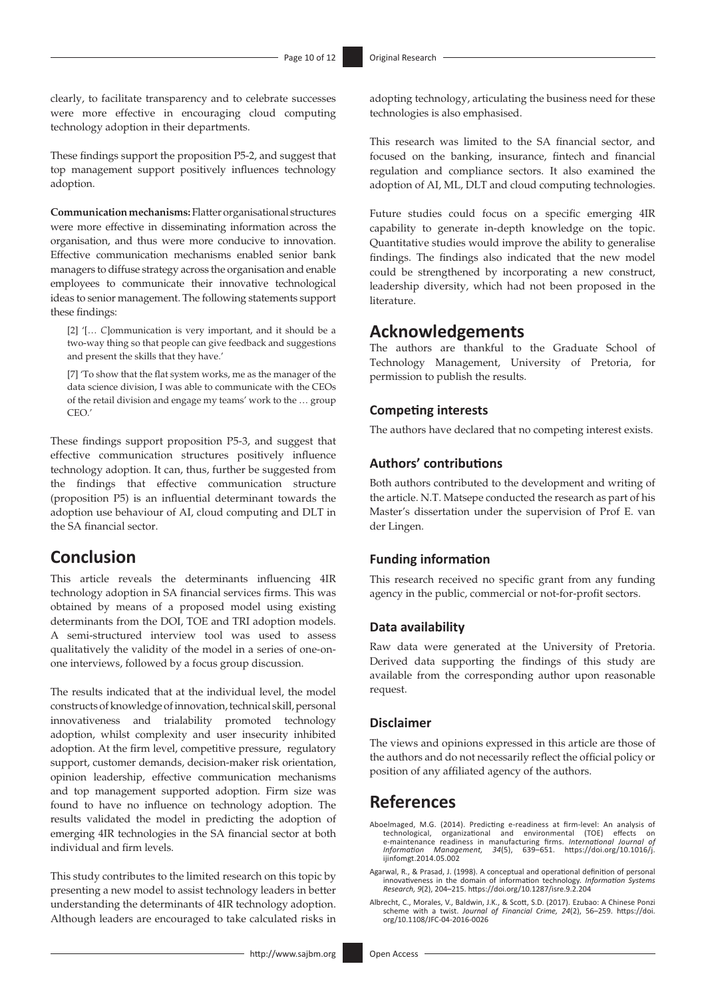clearly, to facilitate transparency and to celebrate successes were more effective in encouraging cloud computing technology adoption in their departments.

These findings support the proposition P5-2, and suggest that top management support positively influences technology adoption.

**Communication mechanisms:** Flatter organisational structures were more effective in disseminating information across the organisation, and thus were more conducive to innovation. Effective communication mechanisms enabled senior bank managers to diffuse strategy across the organisation and enable employees to communicate their innovative technological ideas to senior management. The following statements support these findings:

[2] '[… *C*]ommunication is very important, and it should be a two-way thing so that people can give feedback and suggestions and present the skills that they have.'

[7] 'To show that the flat system works, me as the manager of the data science division, I was able to communicate with the CEOs of the retail division and engage my teams' work to the … group CEO.'

These findings support proposition P5-3, and suggest that effective communication structures positively influence technology adoption. It can, thus, further be suggested from the findings that effective communication structure (proposition P5) is an influential determinant towards the adoption use behaviour of AI, cloud computing and DLT in the SA financial sector.

## **Conclusion**

This article reveals the determinants influencing 4IR technology adoption in SA financial services firms. This was obtained by means of a proposed model using existing determinants from the DOI, TOE and TRI adoption models. A semi-structured interview tool was used to assess qualitatively the validity of the model in a series of one-onone interviews, followed by a focus group discussion.

The results indicated that at the individual level, the model constructs of knowledge of innovation, technical skill, personal innovativeness and trialability promoted technology adoption, whilst complexity and user insecurity inhibited adoption. At the firm level, competitive pressure, regulatory support, customer demands, decision-maker risk orientation, opinion leadership, effective communication mechanisms and top management supported adoption. Firm size was found to have no influence on technology adoption. The results validated the model in predicting the adoption of emerging 4IR technologies in the SA financial sector at both individual and firm levels.

This study contributes to the limited research on this topic by presenting a new model to assist technology leaders in better understanding the determinants of 4IR technology adoption. Although leaders are encouraged to take calculated risks in

adopting technology, articulating the business need for these technologies is also emphasised.

This research was limited to the SA financial sector, and focused on the banking, insurance, fintech and financial regulation and compliance sectors. It also examined the adoption of AI, ML, DLT and cloud computing technologies.

Future studies could focus on a specific emerging 4IR capability to generate in-depth knowledge on the topic. Quantitative studies would improve the ability to generalise findings. The findings also indicated that the new model could be strengthened by incorporating a new construct, leadership diversity, which had not been proposed in the literature.

## **Acknowledgements**

The authors are thankful to the Graduate School of Technology Management, University of Pretoria, for permission to publish the results.

### **Competing interests**

The authors have declared that no competing interest exists.

## **Authors' contributions**

Both authors contributed to the development and writing of the article. N.T. Matsepe conducted the research as part of his Master's dissertation under the supervision of Prof E. van der Lingen.

### **Funding information**

This research received no specific grant from any funding agency in the public, commercial or not-for-profit sectors.

### **Data availability**

Raw data were generated at the University of Pretoria. Derived data supporting the findings of this study are available from the corresponding author upon reasonable request.

#### **Disclaimer**

The views and opinions expressed in this article are those of the authors and do not necessarily reflect the official policy or position of any affiliated agency of the authors.

## **References**

- Aboelmaged, M.G. (2014). Predicting e-readiness at firm-level: An analysis of technological, organizational and environmental (TOE) effects on e-maintenance readiness in manufacturing firms. *International Journal of Information Management, 34*(5), 639–651. [https://doi.org/10.1016/j.](https://doi.org/10.1016/j.ijinfomgt.2014.05.002) [ijinfomgt.2014.05.002](https://doi.org/10.1016/j.ijinfomgt.2014.05.002)
- Agarwal, R., & Prasad, J. (1998). A conceptual and operational definition of personal innovativeness in the domain of information technology*. Information Systems Research, 9*(2), 204–215. <https://doi.org/10.1287/isre.9.2.204>
- Albrecht, C., Morales, V., Baldwin, J.K., & Scott, S.D. (2017). Ezubao: A Chinese Ponzi scheme with a twist. *Journal of Financial Crime, 24*(2), 56–259. [https://doi.](https://doi.org/10.1108/JFC-04-2016-0026) [org/10.1108/JFC-04-2016-0026](https://doi.org/10.1108/JFC-04-2016-0026)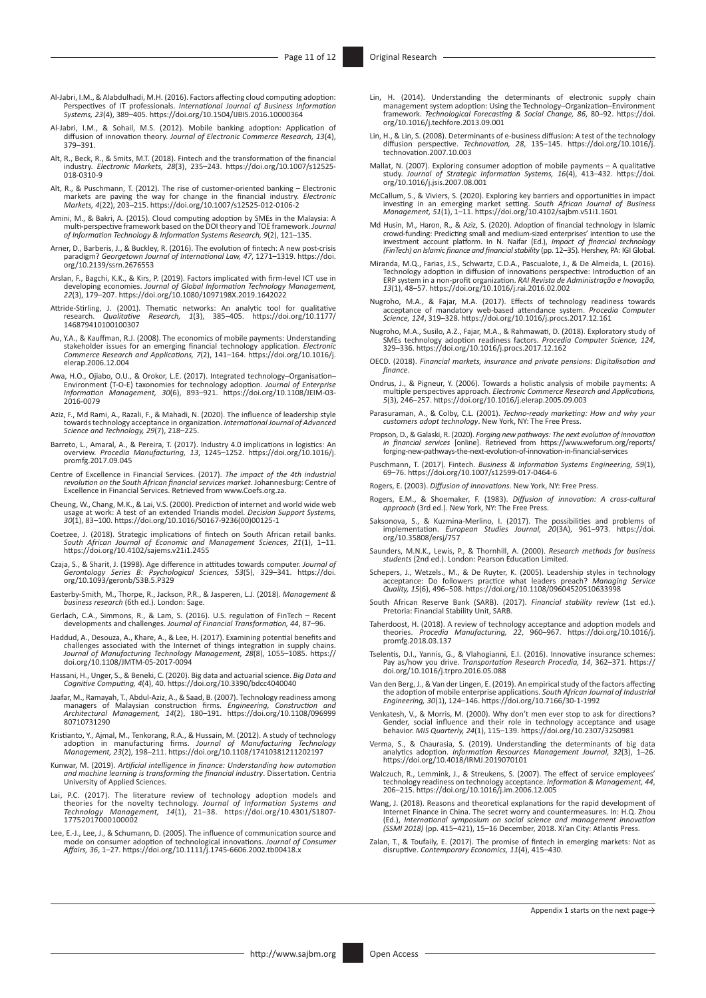- Al-Jabri, I.M., & Alabdulhadi, M.H. (2016). Factors affecting cloud computing adoption: Perspectives of IT professionals. *International Journal of Business Information Systems, 23*(4), 389–405.<https://doi.org/10.1504/IJBIS.2016.10000364>
- Al-Jabri, I.M., & Sohail, M.S. (2012). Mobile banking adoption: Application of diffusion of innovation theory. *Journal of Electronic Commerce Research, 13*(4), 379–391.
- Alt, R., Beck, R., & Smits, M.T. (2018). Fintech and the transformation of the financial industry. *Electronic Markets, 28*(3), 235–243. [https://doi.org/10.1007/s12525-](https://doi.org/10.1007/s12525-018-0310-9) [018-0310-9](https://doi.org/10.1007/s12525-018-0310-9)
- Alt, R., & Puschmann, T. (2012). The rise of customer-oriented banking Electronic markets are paving the way for change in the financial industry. *Electronic Markets, 4*(22), 203–215. <https://doi.org/10.1007/s12525-012-0106-2>
- Amini, M., & Bakri, A. (2015). Cloud computing adoption by SMEs in the Malaysia: A multi-perspective framework based on the DOI theory and TOE framework. *Journal of Information Technology & Information Systems Research, 9*(2), 121–135.
- Arner, D., Barberis, J., & Buckley, R. (2016). The evolution of fintech: A new post-crisis paradigm? *Georgetown Journal of International Law, 47*, 1271–1319. [https://doi.](https://doi.org/10.2139/ssrn.2676553) [org/10.2139/ssrn.2676553](https://doi.org/10.2139/ssrn.2676553)
- Arslan, F., Bagchi, K.K., & Kirs, P. (2019). Factors implicated with firm-level ICT use in developing economies. *Journal of Global Information Technology Management, 22*(3), 179–207.<https://doi.org/10.1080/1097198X.2019.1642022>
- Attride-Stirling, J. (2001). Thematic networks: An analytic tool for qualitative research. *Qualitative Research, 1*(3), 385–405. [https://doi.org/10.1177/](https://doi.org/10.1177/​146879410​100100307) [146879410100100307](https://doi.org/10.1177/​146879410​100100307)
- Au, Y.A., & Kauffman, R.J. (2008). The economics of mobile payments: Understanding stakeholder issues for an emerging financial technology application. *Electronic Commerce Research and Applications, 7*(2), 141–164. [https://doi.org/10.1016/j.](https://doi.org/10.1016/j.elerap.2006.12.004) [elerap.2006.12.004](https://doi.org/10.1016/j.elerap.2006.12.004)
- Awa, H.O., Ojiabo, O.U., & Orokor, L.E. (2017). Integrated technology–Organisation– Environment (T-O-E) taxonomies for technology adoption. *Journal of Enterprise Information Management, 30*(6), 893–921. [https://doi.org/10.1108/JEIM-03-](https://doi.org/10.1108/JEIM-03-2016-0079) [2016-0079](https://doi.org/10.1108/JEIM-03-2016-0079)
- Aziz, F., Md Rami, A., Razali, F., & Mahadi, N. (2020). The influence of leadership style<br>towards technology acceptance in organization. International Journal of Advanced<br>Science and Technology, 29(7), 218–225.
- Barreto, L., Amaral, A., & Pereira, T. (2017). Industry 4.0 implications in logistics: An overview. *Procedia Manufacturing, 13*, 1245–1252. [https://doi.org/10.1016/j.](https://doi.org/10.1016/j.promfg.2017.09.045) [promfg.2017.09.045](https://doi.org/10.1016/j.promfg.2017.09.045)
- Centre of Excellence in Financial Services. (2017). *The impact of the 4th industrial revolution on the South African financial services market.* Johannesburg: Centre of Excellence in Financial Services. Retrieved from [www.Coefs.org.za.](www.Coefs.org.za)
- Cheung, W., Chang, M.K., & Lai, V.S. (2000). Prediction of internet and world wide web usage at work: A test of an extended Triandis model. *Decision Support Systems, 30*(1), 83–100. [https://doi.org/10.1016/S0167-9236\(00\)00125-1](https://doi.org/10.1016/S0167-9236(00)00125-1)
- Coetzee, J. (2018). Strategic implications of fintech on South African retail banks. *South African Journal of Economic and Management Sciences, 21*(1), 1–11. <https://doi.org/10.4102/sajems.v21i1.2455>
- Czaja, S., & Sharit, J. (1998). Age difference in attitudes towards computer. *Journal of Gerontology Series B: Psychological Sciences, 53*(5), 329–341. [https://doi.](https://doi.org/10.1093/geronb/53B.5.P329) [org/10.1093/geronb/53B.5.P329](https://doi.org/10.1093/geronb/53B.5.P329)
- Easterby-Smith, M., Thorpe, R., Jackson, P.R., & Jasperen, L.J. (2018). *Management & business research* (6th ed.). London: Sage.
- Gerlach, C.A., Simmons, R., & Lam, S. (2016). U.S. regulation of FinTech Recent developments and challenges. *Journal of Financial Transformation, 44*, 87–96.
- Haddud, A., Desouza, A., Khare, A., & Lee, H. (2017). Examining potential benefits and challenges associated with the Internet of things integration in supply chains.<br>Journal of Manufacturing Technology Management, 28(8), 1055–1085. [https://](https://doi.org/10.1108/JMTM-05-2017-0094)<br>[doi.org/10.1108/JMTM-05-2017-0094](https://doi.org/10.1108/JMTM-05-2017-0094)
- Hassani, H., Unger, S., & Beneki, C. (2020). Big data and actuarial science. *Big Data and Cognitive Computing, 4*(4), 40.<https://doi.org/10.3390/bdcc4040040>
- Jaafar, M., Ramayah, T., Abdul-Aziz, A., & Saad, B. (2007). Technology readiness among<br>managers of Malaysian construction firms. Engineering, Construction and<br>Architectural Management, 14(2), 180–191. https://doi.org/10.11 [80710731290](https://doi.org/10.1108/09699980710731290)
- Kristianto, Y., Ajmal, M., Tenkorang, R.A., & Hussain, M. (2012). A study of technology<br>adoption in manufacturing firms. Journal of Manufacturing Technology<br>Management, 23(2), 198–211. https://doi.org/10.1108/1741038121120
- Kunwar, M. (2019). *Artificial intelligence in finance: Understanding how automation and machine learning is transforming the financial industry*. Dissertation. Centria University of Applied Sciences.
- Lai, P.C. (2017). The literature review of technology adoption models and<br>theories for the novelty technology. Journal of Information Systems and<br>Technology Management, 14(1), 21–38. [https://doi.org/10.4301/S1807-](https://doi.org/10.4301/S1807-17752017000100002)<br>17752017
- Lee, E.-J., Lee, J., & Schumann, D. (2005). The influence of communication source and mode on consumer adoption of technological innovations. *Journal of Consumer Affairs, 36*, 1–27.<https://doi.org/10.1111/j.1745-6606.2002.tb00418.x>
- Lin, H. (2014). Understanding the determinants of electronic supply chain<br>management system adoption: Using the Technology-Organization-Environment<br>framework. Technological Forecasting & Social Change, 86, 80-92. https://d [org/10.1016/j.techfore.2013.09.001](https://doi.org/10.1016/j.techfore.2013.09.001)
- Lin, H., & Lin, S. (2008). Determinants of e-business diffusion: A test of the technology diffusion perspective. *Technovation, 28*, 135–145. [https://doi.org/10.1016/j.](https://doi.org/10.1016/j.technovation.2007.10.003) [technovation.2007.10.003](https://doi.org/10.1016/j.technovation.2007.10.003)
- Mallat, N. (2007). Exploring consumer adoption of mobile payments A qualitative study. *Journal of Strategic Information Systems, 16*(4), 413–432. [https://doi.](https://doi.org/10.1016/j.jsis.2007.08.001) [org/10.1016/j.jsis.2007.08.001](https://doi.org/10.1016/j.jsis.2007.08.001)
- McCallum, S., & Viviers, S. (2020). Exploring key barriers and opportunities in impact investing in an emerging market setting. *South African Journal of Business Management, 51*(1), 1–11. <https://doi.org/10.4102/sajbm.v51i1.1601>
- Md Husin, M., Haron, R., & Aziz, S. (2020). Adoption of financial technology in Islamic<br>crowd-funding: Predicting small and medium-sized enterprises' intention to use the<br>investment account platform. In N. Naifar (Ed.), *I (FinTech) on Islamic finance and financial stability* (pp. 12–35)*.* Hershey, PA: IGI Global.
- Miranda, M.Q., Farias, J.S., Schwartz, C.D.A., Pascualote, J., & De Almeida, L. (2016). Technology adoption in diffusion of innovations perspective: Introduction of an ERP system in a non-profit organization. *RAI Revista de Administração e Inovação, 13*(1), 48–57.<https://doi.org/10.1016/j.rai.2016.02.002>
- Nugroho, M.A., & Fajar, M.A. (2017). Effects of technology readiness towards acceptance of mandatory web-based attendance system. *Procedia Computer Science, 124*, 319–328.<https://doi.org/10.1016/j.procs.2017.12.161>
- Nugroho, M.A., Susilo, A.Z., Fajar, M.A., & Rahmawati, D. (2018). Exploratory study of SMEs technology adoption readiness factors. *Procedia Computer Science, 124*, 329–336.<https://doi.org/10.1016/j.procs.2017.12.162>
- OECD. (2018). *Financial markets, insurance and private pensions: Digitalisation and finance*.
- Ondrus, J., & Pigneur, Y. (2006). Towards a holistic analysis of mobile payments: A multiple perspectives approach. *Electronic Commerce Research and Applications, 5*(3), 246–257. <https://doi.org/10.1016/j.elerap.2005.09.003>
- Parasuraman, A., & Colby, C.L. (2001). *Techno-ready marketing: How and why your customers adopt technology*. New York, NY: The Free Press.
- Propson, D., & Galaski, R. (2020). *Forging new pathways: The next evolution of innovation in financial services* [online]. Retrieved from [https://www.weforum.org/reports/](https://www.weforum.org/reports/forging-new-pathways-the-next-evolution-of-innovation-in-financial-services) forging-new-pathways-the-next-evolution-of-innovation-in-financial-servic
- Puschmann, T. (2017). Fintech. *Business & Information Systems Engineering, 59*(1), 69–76.<https://doi.org/10.1007/s12599-017-0464-6>
- Rogers, E. (2003). *Diffusion of innovations*. New York, NY: Free Press.
- Rogers, E.M., & Shoemaker, F. (1983). *Diffusion of innovation: A cross-cultural approach* (3rd ed.). New York, NY: The Free Press.
- Saksonova, S., & Kuzmina-Merlino, I. (2017). The possibilities and problems of implementation. *European Studies Journal, 20*(3A), 961–973. [https://doi.](https://doi.org/10.35808/ersj/757) [org/10.35808/ersj/757](https://doi.org/10.35808/ersj/757)
- Saunders, M.N.K., Lewis, P., & Thornhill, A. (2000). *Research methods for business students* (2nd ed.). London: Pearson Education Limited.
- Schepers, J., Wetzels., M., & De Ruyter, K. (2005). Leadership styles in technology<br>acceptance: Do followers practice what leaders preach? Managing Service<br>Quality, 15(6), 496–508. <https://doi.org/10.1108/09604520510633998>
- South African Reserve Bank (SARB). (2017). *Financial stability review* (1st ed.). Pretoria: Financial Stability Unit, SARB.
- Taherdoost, H. (2018). A review of technology acceptance and adoption models and theories. *Procedia Manufacturing, 22*, 960–967. [https://doi.org/10.1016/j.](https://doi.org/10.1016/j.promfg.2018.03.137) [promfg.2018.03.137](https://doi.org/10.1016/j.promfg.2018.03.137)
- Tselentis, D.I., Yannis, G., & Vlahogianni, E.I. (2016). Innovative insurance schemes: Pay as/how you drive. *Transportation Research Procedia, 14*, 362–371. [https://](https://doi.org/10.1016/j.trpro.2016.05.088) [doi.org/10.1016/j.trpro.2016.05.088](https://doi.org/10.1016/j.trpro.2016.05.088)
- Van den Berg, J., & Van der Lingen, E. (2019). An empirical study of the factors affecting<br>the adoption of mobile enterprise applications. South African Journal of Industrial<br>Fingineering, 30(1), 124–146. https://doi.org/1
- Venkatesh, V., & Morris, M. (2000). Why don't men ever stop to ask for directions?<br>Gender, social influence and their role in technology acceptance and usage<br>behavior. MIS Quarterly, 24(1), 115-139. https://doi.org/10.2307
- Verma, S., & Chaurasia, S. (2019). Understanding the determinants of big data analytics adoption. *Information Resources Management Journal, 32*(3), 1–26. <https://doi.org/10.4018/IRMJ.2019070101>
- Walczuch, R., Lemmink, J., & Streukens, S. (2007). The effect of service employees'<br>technology readiness on technology acceptance. *Information & Management, 44*,<br>206–215.<https://doi.org/10.1016/j.im.2006.12.005>
- Wang, J. (2018). Reasons and theoretical explanations for the rapid development of Internet Finance in China. The secret worry and countermeasures. In: H.Q. Zhou<br>(Ed.), *International symposium on social science and management innovation<br>(SSMI 2018) (pp. 415—421), 15—16 December, 2018. Xi'an City: Atlant*
- Zalan, T., & Toufaily, E. (2017). The promise of fintech in emerging markets: Not as disruptive. *Contemporary Economics, 11*(4), 415–430.

Appendix 1 starts on the next page→